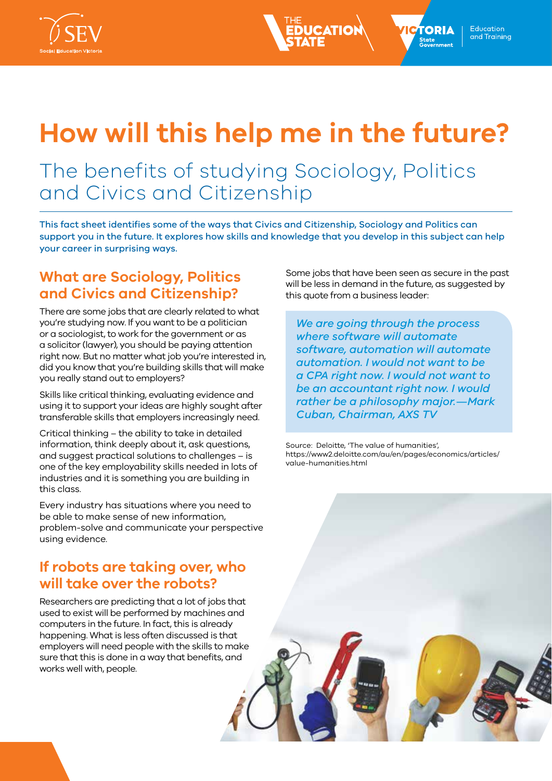



# **How will this help me in the future?**

## The benefits of studying Sociology, Politics and Civics and Citizenship

This fact sheet identifies some of the ways that Civics and Citizenship, Sociology and Politics can support you in the future. It explores how skills and knowledge that you develop in this subject can help your career in surprising ways.

## **What are Sociology, Politics and Civics and Citizenship?**

There are some jobs that are clearly related to what you're studying now. If you want to be a politician or a sociologist, to work for the government or as a solicitor (lawyer), you should be paying attention right now. But no matter what job you're interested in, did you know that you're building skills that will make you really stand out to employers?

Skills like critical thinking, evaluating evidence and using it to support your ideas are highly sought after transferable skills that employers increasingly need.

Critical thinking – the ability to take in detailed information, think deeply about it, ask questions, and suggest practical solutions to challenges – is one of the key employability skills needed in lots of industries and it is something you are building in this class.

Every industry has situations where you need to be able to make sense of new information, problem-solve and communicate your perspective using evidence.

#### **If robots are taking over, who will take over the robots?**

Researchers are predicting that a lot of jobs that used to exist will be performed by machines and computers in the future. In fact, this is already happening. What is less often discussed is that employers will need people with the skills to make sure that this is done in a way that benefits, and works well with, people.

Some jobs that have been seen as secure in the past will be less in demand in the future, as suggested by this quote from a business leader:

*We are going through the process where software will automate software, automation will automate automation. I would not want to be a CPA right now. I would not want to be an accountant right now. I would rather be a philosophy major.—Mark Cuban, Chairman, AXS TV*

Source: Deloitte, 'The value of humanities', https://www2.deloitte.com/au/en/pages/economics/articles/ value-humanities.html